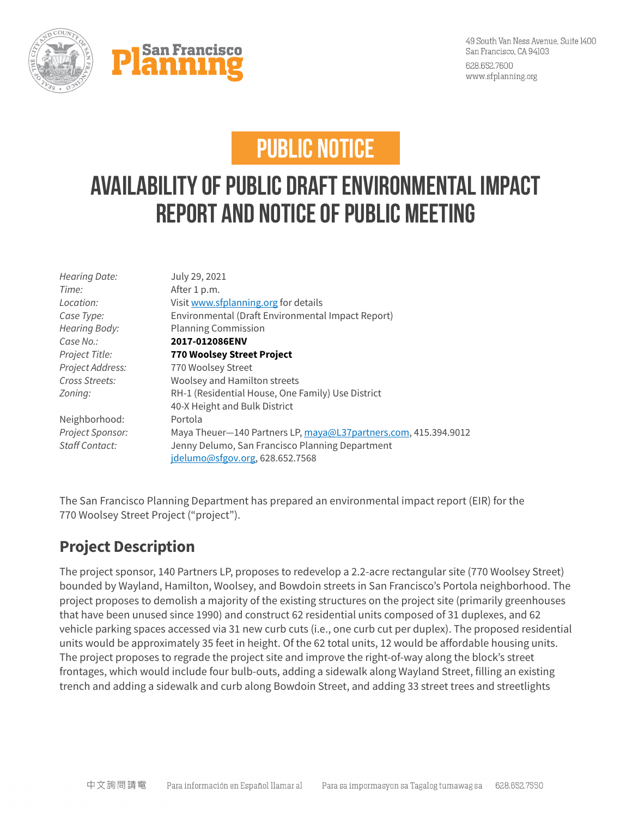



## **PUBLIC NOTICE**

## **Availability of Public DraftEnvironmental Impact Report and Notice of Public Meeting**

| Hearing Date:    | July 29, 2021                                                   |
|------------------|-----------------------------------------------------------------|
| Time:            | After 1 p.m.                                                    |
| Location:        | Visit www.sfplanning.org for details                            |
| Case Type:       | Environmental (Draft Environmental Impact Report)               |
| Hearing Body:    | <b>Planning Commission</b>                                      |
| Case No.:        | 2017-012086ENV                                                  |
| Project Title:   | 770 Woolsey Street Project                                      |
| Project Address: | 770 Woolsey Street                                              |
| Cross Streets:   | Woolsey and Hamilton streets                                    |
| Zoning:          | RH-1 (Residential House, One Family) Use District               |
|                  | 40-X Height and Bulk District                                   |
| Neighborhood:    | Portola                                                         |
| Project Sponsor: | Maya Theuer-140 Partners LP, maya@L37partners.com, 415.394.9012 |
| Staff Contact:   | Jenny Delumo, San Francisco Planning Department                 |
|                  | idelumo@sfgov.org, 628.652.7568                                 |
|                  |                                                                 |

The San Francisco Planning Department has prepared an environmental impact report (EIR) for the 770 Woolsey Street Project ("project").

## **Project Description**

The project sponsor, 140 Partners LP, proposes to redevelop a 2.2-acre rectangular site (770 Woolsey Street) bounded by Wayland, Hamilton, Woolsey, and Bowdoin streets in San Francisco's Portola neighborhood. The project proposes to demolish a majority of the existing structures on the project site (primarily greenhouses that have been unused since 1990) and construct 62 residential units composed of 31 duplexes, and 62 vehicle parking spaces accessed via 31 new curb cuts (i.e., one curb cut per duplex). The proposed residential units would be approximately 35 feet in height. Of the 62 total units, 12 would be affordable housing units. The project proposes to regrade the project site and improve the right-of-way along the block's street frontages, which would include four bulb-outs, adding a sidewalk along Wayland Street, filling an existing trench and adding a sidewalk and curb along Bowdoin Street, and adding 33 street trees and streetlights